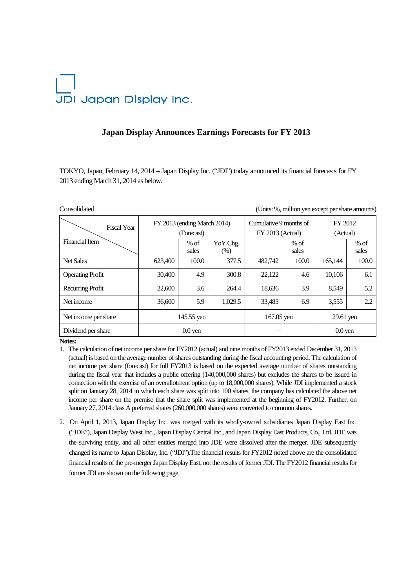## JDI Japan Display Inc.

## **Japan Display Announces Earnings Forecasts for FY 2013**

TOKYO, Japan, February 14, 2014 – Japan Display Inc. ("JDI") today announced its financial forecasts for FY 2013 ending March 31, 2014 as below.

| Consolidated            |                                           |                 |                  |                                              |                 | (Units: %, million yen except per share amounts) |                 |
|-------------------------|-------------------------------------------|-----------------|------------------|----------------------------------------------|-----------------|--------------------------------------------------|-----------------|
| <b>Fiscal Year</b>      | FY 2013 (ending March 2014)<br>(Forecast) |                 |                  | Cumulative 9 months of<br>$FY$ 2013 (Actual) |                 | FY 2012<br>(Actual)                              |                 |
| Financial Item          |                                           | $%$ of<br>sales | YoY Chg.<br>(% ) |                                              | $%$ of<br>sales |                                                  | $%$ of<br>sales |
| <b>Net Sales</b>        | 623,400                                   | 100.0           | 377.5            | 482,742                                      | 100.0           | 165,144                                          | 100.0           |
| <b>Operating Profit</b> | 30.400                                    | 4.9             | 300.8            | 22,122                                       | 4.6             | 10,106                                           | 6.1             |
| Recurring Profit        | 22,600                                    | 3.6             | 264.4            | 18,636                                       | 3.9             | 8,549                                            | 5.2             |
| Net income              | 36,600                                    | 5.9             | 1,029.5          | 33,483                                       | 6.9             | 3,555                                            | 2.2             |
| Net income per share    | 145.55 yen                                |                 |                  | $167.05$ yen                                 |                 | 29.61 yen                                        |                 |
| Dividend per share      | $0.0$ yen                                 |                 |                  |                                              |                 | $0.0$ yen                                        |                 |

**Notes:** 

- 1. The calculation of net income per share for FY2012 (actual) and nine months of FY2013 ended December 31, 2013 (actual) is based on the average number of shares outstanding during the fiscal accounting period. The calculation of net income per share (forecast) for full FY2013 is based on the expected average number of shares outstanding during the fiscal year that includes a public offering (140,000,000 shares) but excludes the shares to be issued in connection with the exercise of an overallotment option (up to 18,000,000 shares). While JDI implemented a stock split on January 28, 2014 in which each share was split into 100 shares, the company has calculated the above net income per share on the premise that the share split was implemented at the beginning of FY2012. Further, on January 27, 2014 class A preferred shares (260,000,000 shares) were converted to common shares.
- 2. On April 1, 2013, Japan Display Inc. was merged with its wholly-owned subsidiaries Japan Display East Inc. ("JDE"), Japan Display West Inc., Japan Display Central Inc., and Japan Display East Products, Co., Ltd. JDE was the surviving entity, and all other entities merged into JDE were dissolved after the merger. JDE subsequently changed its name to Japan Display, Inc. ("JDI").The financial results for FY2012 noted above are the consolidated financial results of the pre-merger Japan Display East, not the results of former JDI. The FY2012 financial results for former JDI are shown on the following page.